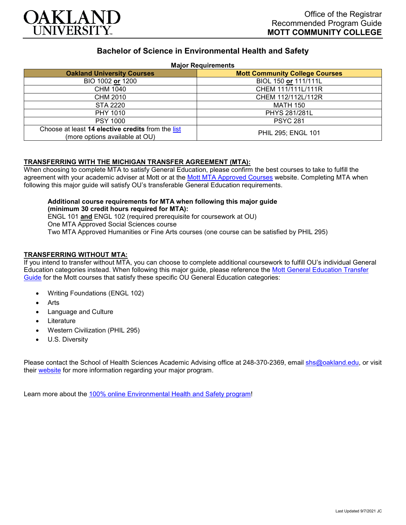

# **Bachelor of Science in Environmental Health and Safety**

### **Major Requirements**

| <b>Oakland University Courses</b>                                                   | <b>Mott Community College Courses</b> |
|-------------------------------------------------------------------------------------|---------------------------------------|
| BIO 1002 or 1200                                                                    | BIOL 150 or 111/111L                  |
| CHM 1040                                                                            | CHEM 111/111L/111R                    |
| CHM 2010                                                                            | CHEM 112/112L/112R                    |
| STA 2220                                                                            | <b>MATH 150</b>                       |
| PHY 1010                                                                            | PHYS 281/281L                         |
| <b>PSY 1000</b>                                                                     | <b>PSYC 281</b>                       |
| Choose at least 14 elective credits from the list<br>(more options available at OU) | <b>PHIL 295; ENGL 101</b>             |

## **TRANSFERRING WITH THE MICHIGAN TRANSFER AGREEMENT (MTA):**

When choosing to complete MTA to satisfy General Education, please confirm the best courses to take to fulfill the agreement with your academic adviser at Mott or at the [Mott MTA Approved Courses](https://www.mcc.edu/counseling_student_dev/casd_mi_transfer_agreement.shtml) website. Completing MTA when following this major guide will satisfy OU's transferable General Education requirements.

#### **Additional course requirements for MTA when following this major guide (minimum 30 credit hours required for MTA):** ENGL 101 **and** ENGL 102 (required prerequisite for coursework at OU) One MTA Approved Social Sciences course

Two MTA Approved Humanities or Fine Arts courses (one course can be satisfied by PHIL 295)

## **TRANSFERRING WITHOUT MTA:**

If you intend to transfer without MTA, you can choose to complete additional coursework to fulfill OU's individual General Education categories instead. When following this major guide, please reference the [Mott General Education Transfer](https://www.oakland.edu/Assets/Oakland/program-guides/mott-community-college/university-general-education-requirements/Mott%20Gen%20Ed.pdf)  [Guide](https://www.oakland.edu/Assets/Oakland/program-guides/mott-community-college/university-general-education-requirements/Mott%20Gen%20Ed.pdf) for the Mott courses that satisfy these specific OU General Education categories:

- Writing Foundations (ENGL 102)
- **Arts**
- Language and Culture
- **Literature**
- Western Civilization (PHIL 295)
- U.S. Diversity

Please contact the School of Health Sciences Academic Advising office at 248-370-2369, email [shs@oakland.edu,](mailto:shs@oakland.edu) or visit their [website](http://www.oakland.edu/shs/advising) for more information regarding your major program.

Learn more about the [100% online Environmental Health and Safety program!](https://www.oakland.edu/online/undergraduate-degree-programs/ehs/)